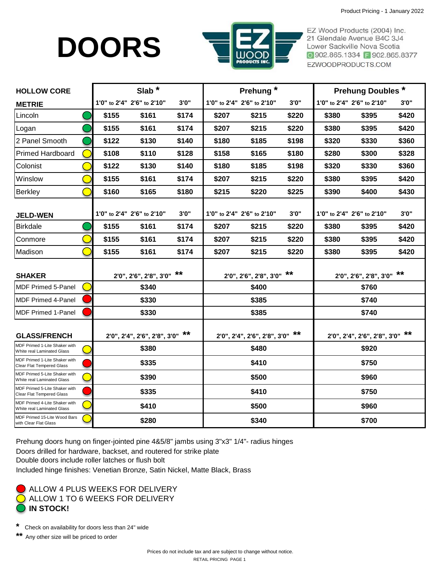# **DOORS**



EZ Wood Products (2004) Inc. 21 Glendale Avenue B4C 3J4 Lower Sackville Nova Scotia ◎ 902.865.1334 日 902.865.8377 EZWOODPRODUCTS.COM

| <b>HOLLOW CORE</b>                                                | Slab $*$ |                                 |       | Prehung <sup>*</sup> |                                 |       | <b>Prehung Doubles*</b> |                                                    |       |
|-------------------------------------------------------------------|----------|---------------------------------|-------|----------------------|---------------------------------|-------|-------------------------|----------------------------------------------------|-------|
| <b>METRIE</b>                                                     |          | 1'0" to 2'4" 2'6" to 2'10"      | 3'0'' |                      | 1'0" to 2'4" 2'6" to 2'10"      | 3'0'' |                         | 1'0" to 2'4" 2'6" to 2'10"                         | 3'0'' |
| Lincoln                                                           | \$155    | \$161                           | \$174 | \$207                | \$215                           | \$220 | \$380                   | \$395                                              | \$420 |
| Logan                                                             | \$155    | \$161                           | \$174 | \$207                | \$215                           | \$220 | \$380                   | \$395                                              | \$420 |
| 2 Panel Smooth                                                    | \$122    | \$130                           | \$140 | \$180                | \$185                           | \$198 | \$320                   | \$330                                              | \$360 |
| <b>Primed Hardboard</b>                                           | \$108    | \$110                           | \$128 | \$158                | \$165                           | \$180 | \$280                   | \$300                                              | \$328 |
| Colonist                                                          | \$122    | \$130                           | \$140 | \$180                | \$185                           | \$198 | \$320                   | \$330                                              | \$360 |
| Winslow                                                           | \$155    | \$161                           | \$174 | \$207                | \$215                           | \$220 | \$380                   | \$395                                              | \$420 |
| <b>Berkley</b>                                                    | \$160    | \$165                           | \$180 | \$215                | \$220                           | \$225 | \$390                   | \$400                                              | \$430 |
| <b>JELD-WEN</b>                                                   |          | 1'0" to 2'4" 2'6" to 2'10"      | 3'0'' |                      | 1'0" to 2'4" 2'6" to 2'10"      | 3'0'' |                         | 1'0" to 2'4" 2'6" to 2'10"                         | 3'0'' |
| <b>Birkdale</b>                                                   | \$155    | \$161                           | \$174 | \$207                | \$215                           | \$220 | \$380                   | \$395                                              | \$420 |
| Conmore                                                           | \$155    | \$161                           | \$174 | \$207                | \$215                           | \$220 | \$380                   | \$395                                              | \$420 |
| Madison                                                           | \$155    | \$161                           | \$174 | \$207                | \$215                           | \$220 | \$380                   | \$395                                              | \$420 |
| <b>SHAKER</b>                                                     |          | 2'0", 2'6", 2'8", 3'0" **       |       |                      | 2'0", 2'6", 2'8", 3'0" **       |       |                         | 2'0", 2'6", 2'8", 3'0" **                          |       |
| <b>MDF Primed 5-Panel</b>                                         |          | \$340                           |       |                      | \$400                           |       |                         | \$760                                              |       |
| <b>MDF Primed 4-Panel</b>                                         |          | \$330                           |       |                      | \$385                           |       |                         | \$740                                              |       |
| <b>MDF Primed 1-Panel</b>                                         | \$330    |                                 |       | \$385                |                                 |       | \$740                   |                                                    |       |
| <b>GLASS/FRENCH</b>                                               |          | 2'0", 2'4", 2'6", 2'8", 3'0" ** |       |                      | 2'0", 2'4", 2'6", 2'8", 3'0" ** |       |                         | $2'0''$ , $2'4''$ , $2'6''$ , $2'8''$ , $3'0''$ ** |       |
| MDF Primed 1-Lite Shaker with<br>White real Laminated Glass       | \$380    |                                 |       | \$480                |                                 |       | \$920                   |                                                    |       |
| MDF Primed 1-Lite Shaker with<br><b>Clear Flat Tempered Glass</b> | \$335    |                                 |       | \$410                |                                 |       | \$750                   |                                                    |       |
| MDF Primed 5-Lite Shaker with<br>White real Laminated Glass       | \$390    |                                 |       | \$500                |                                 |       | \$960                   |                                                    |       |
| MDF Primed 5-Lite Shaker with<br>Clear Flat Tempered Glass        | \$335    |                                 |       | \$410                |                                 |       | \$750                   |                                                    |       |
| MDF Primed 4-Lite Shaker with<br>White real Laminated Glass       | \$410    |                                 |       | \$500                |                                 |       | \$960                   |                                                    |       |
| MDF Primed 15-Lite Wood Bars<br>with Clear Flat Glass             | \$280    |                                 |       | \$340                |                                 |       | \$700                   |                                                    |       |

Prehung doors hung on finger-jointed pine 4&5/8" jambs using 3"x3" 1/4"- radius hinges

Doors drilled for hardware, backset, and routered for strike plate

Double doors include roller latches or flush bolt

Included hinge finishes: Venetian Bronze, Satin Nickel, Matte Black, Brass



**\*** Check on availability for doors less than 24" wide

Any other size will be priced to order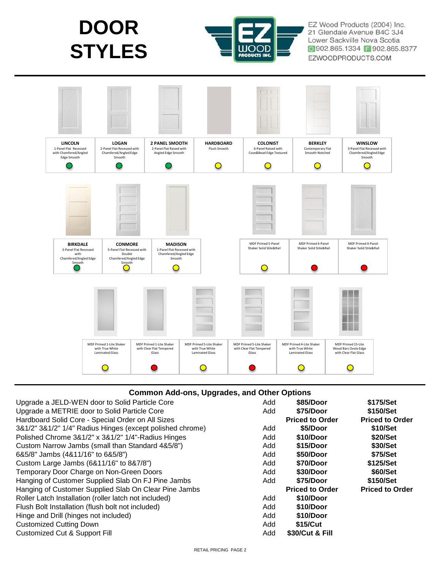



EZ Wood Products (2004) Inc. 21 Glendale Avenue B4C 3J4 Lower Sackville Nova Scotia ◎ 902.865.1334 日 902.865.8377 EZWOODPRODUCTS.COM



#### **Common Add-ons, Upgrades, and Other Options**

| Upgrade a JELD-WEN door to Solid Particle Core            | Add | \$85/Door              | \$175/Set              |
|-----------------------------------------------------------|-----|------------------------|------------------------|
| Upgrade a METRIE door to Solid Particle Core              | Add | \$75/Door              | \$150/Set              |
| Hardboard Solid Core - Special Order on All Sizes         |     | <b>Priced to Order</b> | <b>Priced to Order</b> |
| 3&1/2" 3&1/2" 1/4" Radius Hinges (except polished chrome) | Add | \$5/Door               | \$10/Set               |
| Polished Chrome 3&1/2" x 3&1/2" 1/4"-Radius Hinges        | Add | \$10/Door              | \$20/Set               |
| Custom Narrow Jambs (small than Standard 4&5/8")          | Add | \$15/Door              | \$30/Set               |
| 6&5/8" Jambs (4&11/16" to 6&5/8")                         | Add | \$50/Door              | \$75/Set               |
| Custom Large Jambs (6&11/16" to 8&7/8")                   | Add | \$70/Door              | \$125/Set              |
| Temporary Door Charge on Non-Green Doors                  | Add | \$30/Door              | \$60/Set               |
| Hanging of Customer Supplied Slab On FJ Pine Jambs        | Add | \$75/Door              | \$150/Set              |
| Hanging of Customer Supplied Slab On Clear Pine Jambs     |     | <b>Priced to Order</b> | <b>Priced to Order</b> |
| Roller Latch Installation (roller latch not included)     | Add | \$10/Door              |                        |
| Flush Bolt Installation (flush bolt not included)         | Add | \$10/Door              |                        |
| Hinge and Drill (hinges not included)                     | Add | \$10/Door              |                        |
| <b>Customized Cutting Down</b>                            | Add | \$15/Cut               |                        |
| <b>Customized Cut &amp; Support Fill</b>                  | Add | \$30/Cut & Fill        |                        |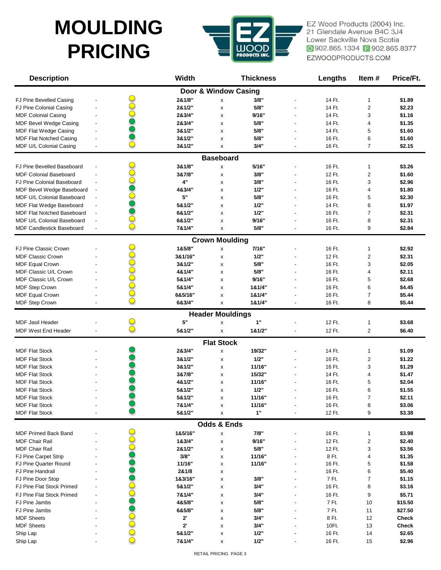### **MOULDING PRICING**



EZ Wood Products (2004) Inc. 21 Glendale Avenue B4C 3J4 Lower Sackville Nova Scotia ◎ 902.865.1334 F 902.865.8377 EZWOODPRODUCTS.COM

| <b>Description</b>                |                          | <b>Width</b>         |                         | <b>Thickness</b> | <b>Lengths</b> | Item#                   | Price/Ft. |
|-----------------------------------|--------------------------|----------------------|-------------------------|------------------|----------------|-------------------------|-----------|
|                                   |                          | Door & Window Casing |                         |                  |                |                         |           |
| FJ Pine Bevelled Casing           |                          | 2&1/8"               | Χ                       | 3/8"             | 14 Ft.         | 1                       | \$1.89    |
| FJ Pine Colonial Casing           |                          | 2&1/2"               | X                       | 5/8"             | 14 Ft.         | $\overline{\mathbf{c}}$ | \$2.23    |
| <b>MDF Colonial Casing</b>        |                          | 2&3/4"               | X                       | 9/16"            | 14 Ft.         | 3                       | \$1.16    |
| MDF Bevel Wedge Casing            |                          | 2&3/4"               | X                       | 5/8"             | 14 Ft.         | 4                       | \$1.35    |
| MDF Flat Wedge Casing             |                          | 3&1/2"               | x                       | 5/8"             | 14 Ft.         | 5                       | \$1.60    |
| <b>MDF Flat Notched Casing</b>    |                          | 3&1/2"               | X                       | 5/8"             | 16 Ft.         | 6                       | \$1.60    |
| MDF U/L Colonial Casing           | $\overline{\phantom{a}}$ | 3&1/2"               | X                       | 3/4"             | 16 Ft.         | 7                       | \$2.15    |
|                                   |                          |                      | <b>Baseboard</b>        |                  |                |                         |           |
| FJ Pine Bevelled Baseboard        |                          | 3&1/8"               | x                       | 5/16"            | 16 Ft.         | 1                       | \$3.26    |
| <b>MDF Colonial Baseboard</b>     |                          | 3&7/8"               | X                       | 3/8"             | 12 Ft.         | 2                       | \$1.60    |
| FJ Pine Colonial Baseboard        |                          | 4"                   | X                       | 3/8"             | 16 Ft.         | 3                       | \$2.96    |
| MDF Bevel Wedge Baseboard         |                          | 4&3/4"               | X                       | 1/2"             | 16 Ft.         | 4                       | \$1.80    |
| MDF U/L Colonial Baseboard        | $\overline{\phantom{a}}$ | 5"                   |                         | 5/8"             | 16 Ft.         | 5                       | \$2.30    |
| MDF Flat Wedge Baseboard          |                          | 5&1/2"               | x<br>X                  | 1/2"             | 14 Ft.         | 6                       | \$1.97    |
| <b>MDF Flat Notched Baseboard</b> |                          | 6&1/2"               |                         | 1/2"             | 16 Ft.         | 7                       | \$2.31    |
| MDF U/L Colonial Baseboard        | $\overline{\phantom{a}}$ | 6&1/2"               | x                       | 9/16"            | 16 Ft.         | 8                       | \$2.31    |
|                                   |                          | 7&1/4"               | X                       | 5/8"             | 16 Ft.         |                         | \$2.84    |
| <b>MDF Candlestick Baseboard</b>  | $\overline{\phantom{a}}$ |                      | X                       |                  |                | 9                       |           |
|                                   |                          |                      | <b>Crown Moulding</b>   |                  |                |                         |           |
| FJ Pine Classic Crown             |                          | 1&5/8"               | X                       | 7/16"            | 16 Ft.         | 1                       | \$2.92    |
| <b>MDF Classic Crown</b>          |                          | 3&1/16"              | X                       | 1/2"             | 12 Ft.         | 2                       | \$2.31    |
| <b>MDF Equal Crown</b>            |                          | 3&1/2"               | X                       | 5/8"             | 16 Ft.         | 3                       | \$2.05    |
| <b>MDF Classic U/L Crown</b>      |                          | 4&1/4"               | X                       | 5/8"             | 16 Ft.         | 4                       | \$2.11    |
| MDF Classic U/L Crown             |                          | 5&1/4"               | x                       | 9/16"            | 16 Ft.         | 5                       | \$2.68    |
| MDF Step Crown                    |                          | 5&1/4"               | X                       | 1&1/4"           | 16 Ft.         | 6                       | \$4.45    |
| <b>MDF Equal Crown</b>            |                          | 6&5/16"              | X                       | 1&1/4"           | 16 Ft.         | 7                       | \$5.44    |
| MDF Step Crown                    |                          | 6&3/4"               | x                       | 1&1/4"           | 16 Ft.         | 8                       | \$5.44    |
|                                   |                          |                      | <b>Header Mouldings</b> |                  |                |                         |           |
| <b>MDF Jasil Header</b>           |                          | 5"                   | X                       | 1"               | 12 Ft.         | 1                       | \$3.68    |
| MDF West End Header               |                          | 5&1/2"               | X                       | 1&1/2"           | 12 Ft.         | 2                       | \$6.40    |
|                                   |                          |                      | <b>Flat Stock</b>       |                  |                |                         |           |
| <b>MDF Flat Stock</b>             |                          | 2&3/4"               | X                       | 19/32"           | 14 Ft.         | 1                       | \$1.09    |
| <b>MDF Flat Stock</b>             |                          | 3&1/2"               | X                       | 1/2"             | 16 Ft.         | 2                       | \$1.22    |
| <b>MDF Flat Stock</b>             |                          | 3&1/2"               | x                       | 11/16"           | 16 Ft.         | 3                       | \$1.29    |
| <b>MDF Flat Stock</b>             |                          | 3&7/8"               | x                       | 15/32"           | 14 Ft.         | 4                       | \$1.47    |
| <b>MDF Flat Stock</b>             |                          | 4&1/2"               | x                       | 11/16"           | 16 Ft.         | 5                       | \$2.04    |
| <b>MDF Flat Stock</b>             |                          | 5&1/2"               | x                       | 1/2"             | 16 Ft.         | 6                       | \$1.55    |
| <b>MDF Flat Stock</b>             |                          | 5&1/2"               |                         | 11/16"           | 16 Ft.         | 7                       | \$2.11    |
| <b>MDF Flat Stock</b>             |                          | 7&1/4"               | x                       | 11/16"           | 16 Ft.         | 8                       | \$3.06    |
| <b>MDF Flat Stock</b>             |                          | 5&1/2"               | X                       | $1"$             | 12 Ft.         | 9                       | \$3.38    |
|                                   |                          |                      |                         |                  |                |                         |           |
|                                   |                          |                      | <b>Odds &amp; Ends</b>  |                  |                |                         |           |
| MDF Primed Back Band              |                          | 1&5/16"              | x                       | 7/8"             | 16 Ft.         | 1                       | \$3.98    |
| <b>MDF Chair Rail</b>             |                          | 1&3/4"               | x                       | 9/16"            | 12 Ft.         | 2                       | \$2.40    |
| <b>MDF Chair Rail</b>             |                          | 2&1/2"               | x                       | 5/8"             | 12 Ft.         | 3                       | \$3.56    |
| FJ Pine Carpet Strip              |                          | 3/8"                 | x                       | 11/16"           | 8 Ft.          | 4                       | \$1.35    |
| FJ Pine Quarter Round             |                          | 11/16"               | x                       | 11/16"           | 16 Ft.         | 5                       | \$1.58    |
| FJ Pine Handrail                  |                          | 2&1/8                | X                       |                  | 16 Ft.         | 6                       | \$5.40    |
| FJ Pine Door Stop                 |                          | 1&3/16"              | X                       | 3/8"             | 7 Ft.          | 7                       | \$1.15    |
| FJ Pine Flat Stock Primed         |                          | 5&1/2"               | x                       | 3/4"             | 16 Ft.         | 8                       | \$3.16    |
| FJ Pine Flat Stock Primed         |                          | 7&1/4"               | x                       | 3/4"             | 16 Ft.         | 9                       | \$5.71    |
| FJ Pine Jambs                     |                          | 4&5/8"               | x                       | 5/8"             | 7 Ft.          | 10                      | \$15.50   |
| FJ Pine Jambs                     |                          | 6&5/8"               | x                       | 5/8"             | 7 Ft.          | 11                      | \$27.50   |
| <b>MDF Sheets</b>                 |                          | 2'                   | x                       | 3/4"             | 8 Ft.          | 12                      | Check     |
| <b>MDF Sheets</b>                 |                          | $2^{\circ}$          | x                       | 3/4"             | 10Ft.          | 13                      | Check     |
| Ship Lap                          |                          | 5&1/2"               | x                       | 1/2"             | 16 Ft.         | 14                      | \$2.65    |
| Ship Lap                          |                          | 7&1/4"               | x                       | 1/2"             | 16 Ft.         | 15                      | \$2.96    |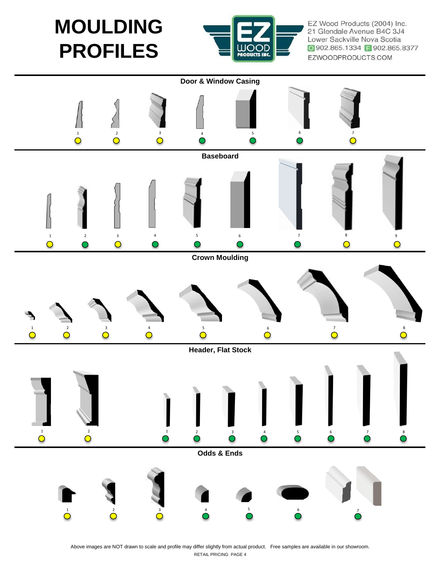**MOULDING PROFILES**



EZ Wood Products (2004) Inc. 21 Glendale Avenue B4C 3J4 Lower Sackville Nova Scotia ◎ 902.865.1334 ■ 902.865.8377 EZWOODPRODUCTS.COM



Above images are NOT drawn to scale and profile may differ slightly from actual product. Free samples are available in our showroom. RETAIL PRICING PAGE 4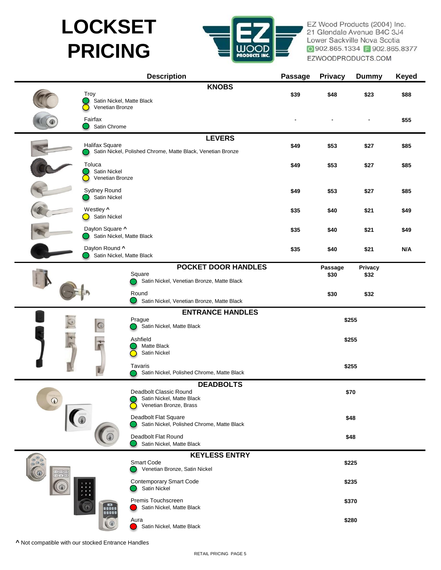# **LOCKSET PRICING**



EZ Wood Products (2004) Inc. 21 Glendale Avenue B4C 3J4 Lower Sackville Nova Scotia ◎ 902.865.1334 ■ 902.865.8377 EZWOODPRODUCTS.COM

|              | <b>Description</b>                                    |                                         |                                                                         |                | <b>Privacy</b> | <b>Dummy</b> | <b>Keyed</b> |
|--------------|-------------------------------------------------------|-----------------------------------------|-------------------------------------------------------------------------|----------------|----------------|--------------|--------------|
|              | Troy<br>Satin Nickel, Matte Black<br>Venetian Bronze  |                                         | <b>KNOBS</b>                                                            | \$39           | \$48           | \$23         | \$88         |
|              | Fairfax<br>Satin Chrome                               |                                         |                                                                         |                |                |              | \$55         |
|              |                                                       |                                         | <b>LEVERS</b>                                                           |                |                |              |              |
|              | <b>Halifax Square</b>                                 |                                         | Satin Nickel, Polished Chrome, Matte Black, Venetian Bronze             | \$49           | \$53           | \$27         | \$85         |
|              | Toluca<br>Satin Nickel<br>Venetian Bronze             |                                         |                                                                         | \$49           | \$53           | \$27         | \$85         |
|              | Sydney Round<br>Satin Nickel                          |                                         |                                                                         | \$49           | \$53           | \$27         | \$85         |
|              | Westley ^<br>Satin Nickel<br>$\overline{\phantom{0}}$ |                                         |                                                                         | \$35           | \$40           | \$21         | \$49         |
|              | Daylon Square ^<br>Satin Nickel, Matte Black          |                                         |                                                                         | \$35           | \$40           | \$21         | \$49         |
|              | Daylon Round ^<br>Satin Nickel, Matte Black           |                                         |                                                                         | \$35           | \$40           | \$21         | N/A          |
|              |                                                       |                                         | <b>POCKET DOOR HANDLES</b>                                              |                | Passage        | Privacy      |              |
|              |                                                       | Square                                  | Satin Nickel, Venetian Bronze, Matte Black                              |                | \$30           | \$32         |              |
|              |                                                       | Round                                   | Satin Nickel, Venetian Bronze, Matte Black                              |                | \$30           | \$32         |              |
|              |                                                       |                                         | <b>ENTRANCE HANDLES</b>                                                 |                |                |              |              |
| $\circ$<br>F |                                                       | Prague                                  | Satin Nickel, Matte Black                                               | \$255          |                |              |              |
|              |                                                       | Ashfield<br>Matte Black<br>Satin Nickel |                                                                         | \$255<br>\$255 |                |              |              |
|              |                                                       | Tavaris                                 | Satin Nickel, Polished Chrome, Matte Black                              |                |                |              |              |
| $\circledR$  |                                                       | Deadbolt Classic Round                  | <b>DEADBOLTS</b><br>Satin Nickel, Matte Black<br>Venetian Bronze, Brass | \$70           |                |              |              |
|              |                                                       | Deadbolt Flat Square                    | Satin Nickel, Polished Chrome, Matte Black                              | \$48           |                |              |              |
|              |                                                       | Deadbolt Flat Round                     | Satin Nickel, Matte Black                                               | \$48           |                |              |              |
|              |                                                       | <b>KEYLESS ENTRY</b>                    |                                                                         |                |                |              |              |
| $(1)$ $(2)$  |                                                       | Smart Code                              | Venetian Bronze, Satin Nickel                                           |                | \$225          |              |              |
|              |                                                       | Satin Nickel                            | <b>Contemporary Smart Code</b>                                          |                |                | \$235        |              |
|              | DEEDE                                                 | Premis Touchscreen                      | Satin Nickel, Matte Black                                               |                |                | \$370        |              |
|              |                                                       | Aura<br>Satin Nickel, Matte Black       |                                                                         | \$280          |                |              |              |